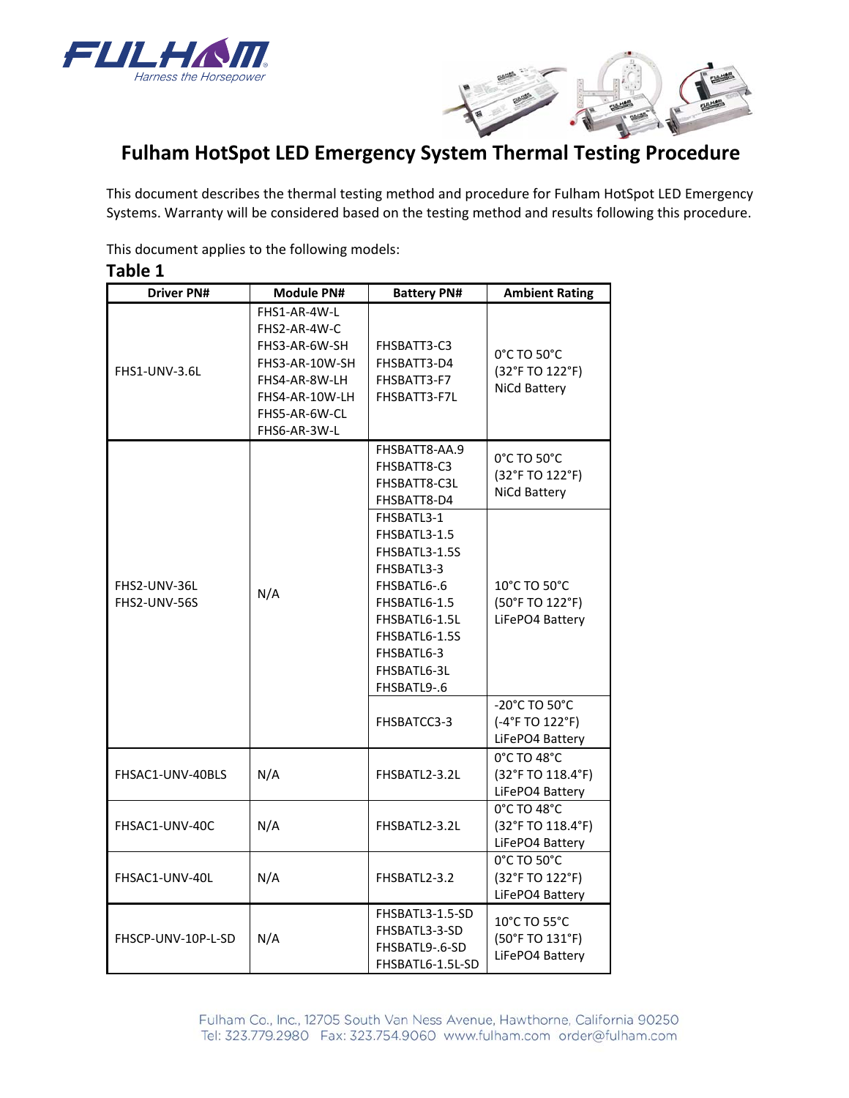



# **Fulham HotSpot LED Emergency System Thermal Testing Procedure**

This document describes the thermal testing method and procedure for Fulham HotSpot LED Emergency Systems. Warranty will be considered based on the testing method and results following this procedure.

This document applies to the following models:

| <b>Driver PN#</b>            | <b>Module PN#</b>                                                                                                                   | <b>Battery PN#</b>                                                                                                                                                     | <b>Ambient Rating</b>                                                    |
|------------------------------|-------------------------------------------------------------------------------------------------------------------------------------|------------------------------------------------------------------------------------------------------------------------------------------------------------------------|--------------------------------------------------------------------------|
| FHS1-UNV-3.6L                | FHS1-AR-4W-L<br>FHS2-AR-4W-C<br>FHS3-AR-6W-SH<br>FHS3-AR-10W-SH<br>FHS4-AR-8W-LH<br>FHS4-AR-10W-LH<br>FHS5-AR-6W-CL<br>FHS6-AR-3W-L | FHSBATT3-C3<br>FHSBATT3-D4<br>FHSBATT3-F7<br>FHSBATT3-F7L                                                                                                              | 0°C TO 50°C<br>(32°F TO 122°F)<br>NiCd Battery                           |
| FHS2-UNV-36L<br>FHS2-UNV-56S | N/A                                                                                                                                 | FHSBATT8-AA.9<br>FHSBATT8-C3<br>FHSBATT8-C3L<br>FHSBATT8-D4                                                                                                            | 0°C TO 50°C<br>(32°F TO 122°F)<br>NiCd Battery                           |
|                              |                                                                                                                                     | FHSBATL3-1<br>FHSBATL3-1.5<br>FHSBATL3-1.5S<br>FHSBATL3-3<br>FHSBATL6-.6<br>FHSBATL6-1.5<br>FHSBATL6-1.5L<br>FHSBATL6-1.5S<br>FHSBATL6-3<br>FHSBATL6-3L<br>FHSBATL9-.6 | 10°C TO 50°C<br>(50°F TO 122°F)<br>LiFePO4 Battery                       |
|                              |                                                                                                                                     | FHSBATCC3-3                                                                                                                                                            | $-20^{\circ}$ C TO 50 $^{\circ}$ C<br>(-4°F TO 122°F)<br>LiFePO4 Battery |
| FHSAC1-UNV-40BLS             | N/A                                                                                                                                 | FHSBATL2-3.2L                                                                                                                                                          | 0°C TO 48°C<br>(32°F TO 118.4°F)<br>LiFePO4 Battery                      |
| FHSAC1-UNV-40C               | N/A                                                                                                                                 | FHSBATL2-3.2L                                                                                                                                                          | 0°C TO 48°C<br>(32°F TO 118.4°F)<br>LiFePO4 Battery                      |
| FHSAC1-UNV-40L               | N/A                                                                                                                                 | FHSBATL2-3.2                                                                                                                                                           | 0°C TO 50°C<br>(32°F TO 122°F)<br>LiFePO4 Battery                        |
| FHSCP-UNV-10P-L-SD           | N/A                                                                                                                                 | FHSBATL3-1.5-SD<br>FHSBATL3-3-SD<br>FHSBATL9-.6-SD<br>FHSBATL6-1.5L-SD                                                                                                 | 10°C TO 55°C<br>(50°F TO 131°F)<br>LiFePO4 Battery                       |

# **Table 1**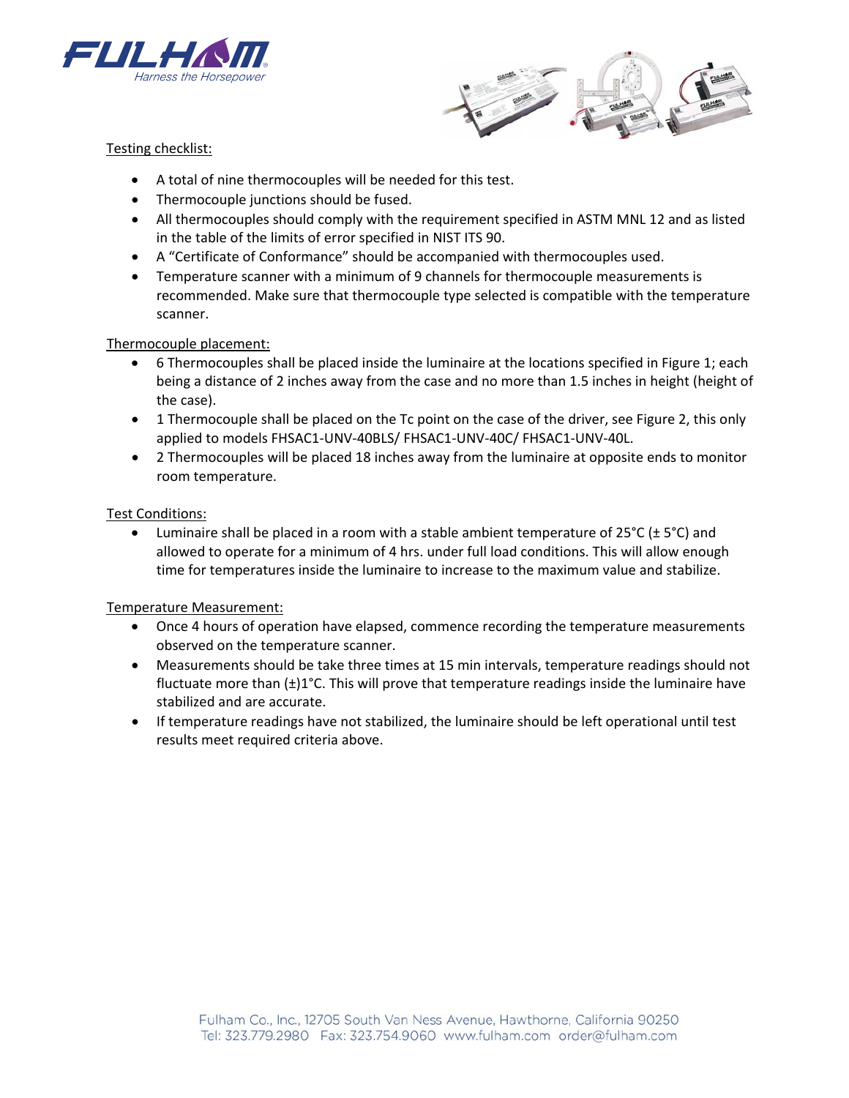



# Testing checklist:

- A total of nine thermocouples will be needed for this test.
- Thermocouple junctions should be fused.
- All thermocouples should comply with the requirement specified in ASTM MNL 12 and as listed in the table of the limits of error specified in NIST ITS 90.
- A "Certificate of Conformance" should be accompanied with thermocouples used.
- Temperature scanner with a minimum of 9 channels for thermocouple measurements is recommended. Make sure that thermocouple type selected is compatible with the temperature scanner.

# Thermocouple placement:

- 6 Thermocouples shall be placed inside the luminaire at the locations specified in Figure 1; each being a distance of 2 inches away from the case and no more than 1.5 inches in height (height of the case).
- 1 Thermocouple shall be placed on the Tc point on the case of the driver, see Figure 2, this only applied to models FHSAC1‐UNV‐40BLS/ FHSAC1‐UNV‐40C/ FHSAC1‐UNV‐40L.
- 2 Thermocouples will be placed 18 inches away from the luminaire at opposite ends to monitor room temperature.

# Test Conditions:

Luminaire shall be placed in a room with a stable ambient temperature of  $25^{\circ}C$  ( $\pm 5^{\circ}C$ ) and allowed to operate for a minimum of 4 hrs. under full load conditions. This will allow enough time for temperatures inside the luminaire to increase to the maximum value and stabilize.

#### Temperature Measurement:

- Once 4 hours of operation have elapsed, commence recording the temperature measurements observed on the temperature scanner.
- Measurements should be take three times at 15 min intervals, temperature readings should not fluctuate more than (±)1°C. This will prove that temperature readings inside the luminaire have stabilized and are accurate.
- If temperature readings have not stabilized, the luminaire should be left operational until test results meet required criteria above.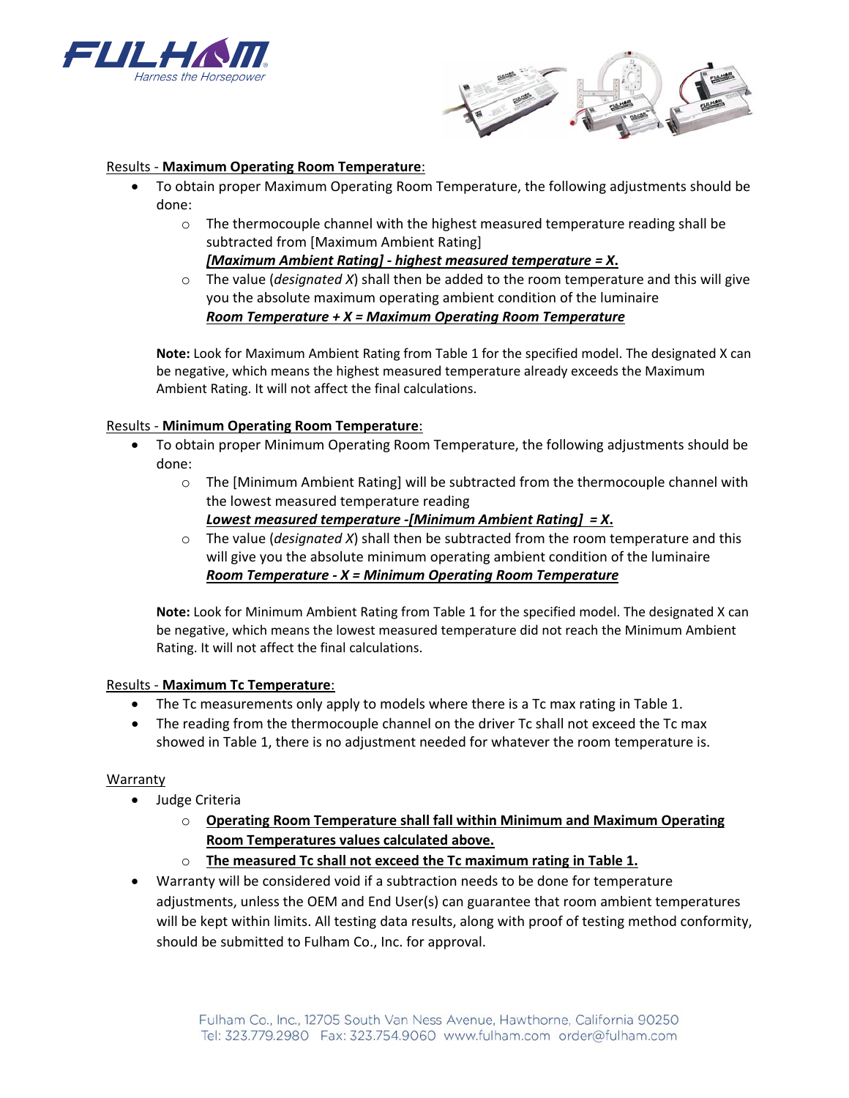



#### Results ‐ **Maximum Operating Room Temperature**:

- To obtain proper Maximum Operating Room Temperature, the following adjustments should be done:
	- o The thermocouple channel with the highest measured temperature reading shall be subtracted from [Maximum Ambient Rating] *[Maximum Ambient Rating] ‐ highest measured temperature = X***.**
	- o The value (*designated X*) shall then be added to the room temperature and this will give you the absolute maximum operating ambient condition of the luminaire *Room Temperature + X = Maximum Operating Room Temperature*

**Note:** Look for Maximum Ambient Rating from Table 1 for the specified model. The designated X can be negative, which means the highest measured temperature already exceeds the Maximum Ambient Rating. It will not affect the final calculations.

# Results ‐ **Minimum Operating Room Temperature**:

- To obtain proper Minimum Operating Room Temperature, the following adjustments should be done:
	- $\circ$  The [Minimum Ambient Rating] will be subtracted from the thermocouple channel with the lowest measured temperature reading
		- *Lowest measured temperature ‐[Minimum Ambient Rating] = X***.**
	- o The value (*designated X*) shall then be subtracted from the room temperature and this will give you the absolute minimum operating ambient condition of the luminaire *Room Temperature ‐ X = Minimum Operating Room Temperature*

**Note:** Look for Minimum Ambient Rating from Table 1 for the specified model. The designated X can be negative, which means the lowest measured temperature did not reach the Minimum Ambient Rating. It will not affect the final calculations.

#### Results ‐ **Maximum Tc Temperature**:

- The Tc measurements only apply to models where there is a Tc max rating in Table 1.
- The reading from the thermocouple channel on the driver Tc shall not exceed the Tc max showed in Table 1, there is no adjustment needed for whatever the room temperature is.

#### Warranty

- Judge Criteria
	- o **Operating Room Temperature shall fall within Minimum and Maximum Operating Room Temperatures values calculated above.**
	- o **The measured Tc shall not exceed the Tc maximum rating in Table 1.**
- Warranty will be considered void if a subtraction needs to be done for temperature adjustments, unless the OEM and End User(s) can guarantee that room ambient temperatures will be kept within limits. All testing data results, along with proof of testing method conformity, should be submitted to Fulham Co., Inc. for approval.